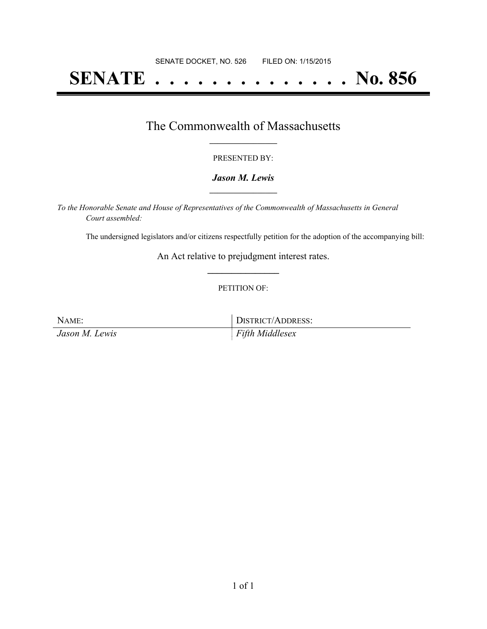# **SENATE . . . . . . . . . . . . . . No. 856**

## The Commonwealth of Massachusetts **\_\_\_\_\_\_\_\_\_\_\_\_\_\_\_\_\_**

#### PRESENTED BY:

#### *Jason M. Lewis* **\_\_\_\_\_\_\_\_\_\_\_\_\_\_\_\_\_**

*To the Honorable Senate and House of Representatives of the Commonwealth of Massachusetts in General Court assembled:*

The undersigned legislators and/or citizens respectfully petition for the adoption of the accompanying bill:

An Act relative to prejudgment interest rates. **\_\_\_\_\_\_\_\_\_\_\_\_\_\_\_**

#### PETITION OF:

| NAME:          | DISTRICT/ADDRESS: |
|----------------|-------------------|
| Jason M. Lewis | Fifth Middlesex   |